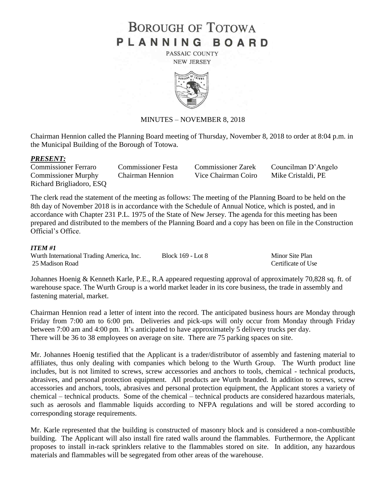# **BOROUGH OF TOTOWA** PLANNING BOARD

PASSAIC COUNTY **NEW JERSEY** 



## MINUTES – NOVEMBER 8, 2018

Chairman Hennion called the Planning Board meeting of Thursday, November 8, 2018 to order at 8:04 p.m. in the Municipal Building of the Borough of Totowa.

### *PRESENT:*

Commissioner Murphy Chairman Hennion Vice Chairman Coiro Mike Cristaldi, PE Richard Brigliadoro, ESQ

Commissioner Ferraro Commissioner Festa Commissioner Zarek Councilman D'Angelo

The clerk read the statement of the meeting as follows: The meeting of the Planning Board to be held on the 8th day of November 2018 is in accordance with the Schedule of Annual Notice, which is posted, and in accordance with Chapter 231 P.L. 1975 of the State of New Jersey. The agenda for this meeting has been prepared and distributed to the members of the Planning Board and a copy has been on file in the Construction Official's Office.

#### *ITEM #1*

Wurth International Trading America, Inc. Block 169 - Lot 8 Minor Site Plan 25 Madison Road Certificate of Use

Johannes Hoenig & Kenneth Karle, P.E., R.A appeared requesting approval of approximately 70,828 sq. ft. of warehouse space. The Wurth Group is a world market leader in its core business, the trade in assembly and fastening material, market.

Chairman Hennion read a letter of intent into the record. The anticipated business hours are Monday through Friday from 7:00 am to 6:00 pm. Deliveries and pick-ups will only occur from Monday through Friday between 7:00 am and 4:00 pm. It's anticipated to have approximately 5 delivery trucks per day. There will be 36 to 38 employees on average on site. There are 75 parking spaces on site.

Mr. Johannes Hoenig testified that the Applicant is a trader/distributor of assembly and fastening material to affiliates, thus only dealing with companies which belong to the Wurth Group. The Wurth product line includes, but is not limited to screws, screw accessories and anchors to tools, chemical - technical products, abrasives, and personal protection equipment. All products are Wurth branded. In addition to screws, screw accessories and anchors, tools, abrasives and personal protection equipment, the Applicant stores a variety of chemical – technical products. Some of the chemical – technical products are considered hazardous materials, such as aerosols and flammable liquids according to NFPA regulations and will be stored according to corresponding storage requirements.

Mr. Karle represented that the building is constructed of masonry block and is considered a non-combustible building. The Applicant will also install fire rated walls around the flammables. Furthermore, the Applicant proposes to install in-rack sprinklers relative to the flammables stored on site. In addition, any hazardous materials and flammables will be segregated from other areas of the warehouse.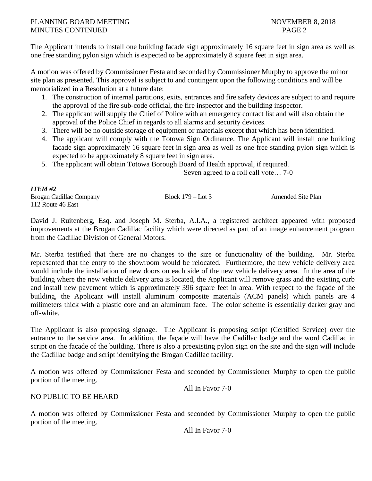## PLANNING BOARD MEETING NOVEMBER 8, 2018 MINUTES CONTINUED PAGE 2

The Applicant intends to install one building facade sign approximately 16 square feet in sign area as well as one free standing pylon sign which is expected to be approximately 8 square feet in sign area.

A motion was offered by Commissioner Festa and seconded by Commissioner Murphy to approve the minor site plan as presented. This approval is subject to and contingent upon the following conditions and will be memorialized in a Resolution at a future date:

- 1. The construction of internal partitions, exits, entrances and fire safety devices are subject to and require the approval of the fire sub-code official, the fire inspector and the building inspector.
- 2. The applicant will supply the Chief of Police with an emergency contact list and will also obtain the approval of the Police Chief in regards to all alarms and security devices.
- 3. There will be no outside storage of equipment or materials except that which has been identified.
- 4. The applicant will comply with the Totowa Sign Ordinance. The Applicant will install one building facade sign approximately 16 square feet in sign area as well as one free standing pylon sign which is expected to be approximately 8 square feet in sign area.
- 5. The applicant will obtain Totowa Borough Board of Health approval, if required.

Seven agreed to a roll call vote… 7-0

## *ITEM #2*

Brogan Cadillac Company Block 179 – Lot 3 Amended Site Plan 112 Route 46 East

David J. Ruitenberg, Esq. and Joseph M. Sterba, A.I.A., a registered architect appeared with proposed improvements at the Brogan Cadillac facility which were directed as part of an image enhancement program from the Cadillac Division of General Motors.

Mr. Sterba testified that there are no changes to the size or functionality of the building. Mr. Sterba represented that the entry to the showroom would be relocated. Furthermore, the new vehicle delivery area would include the installation of new doors on each side of the new vehicle delivery area. In the area of the building where the new vehicle delivery area is located, the Applicant will remove grass and the existing curb and install new pavement which is approximately 396 square feet in area. With respect to the façade of the building, the Applicant will install aluminum composite materials (ACM panels) which panels are 4 milimeters thick with a plastic core and an aluminum face. The color scheme is essentially darker gray and off-white.

The Applicant is also proposing signage. The Applicant is proposing script (Certified Service) over the entrance to the service area. In addition, the façade will have the Cadillac badge and the word Cadillac in script on the façade of the building. There is also a preexisting pylon sign on the site and the sign will include the Cadillac badge and script identifying the Brogan Cadillac facility.

A motion was offered by Commissioner Festa and seconded by Commissioner Murphy to open the public portion of the meeting.

All In Favor 7-0

## NO PUBLIC TO BE HEARD

A motion was offered by Commissioner Festa and seconded by Commissioner Murphy to open the public portion of the meeting.

All In Favor 7-0